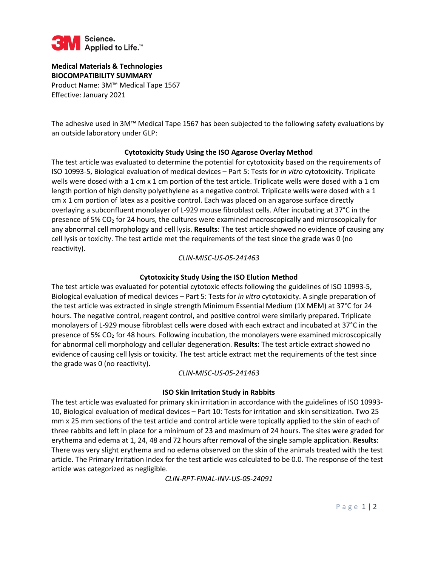

**Medical Materials & Technologies BIOCOMPATIBILITY SUMMARY** Product Name: 3M™ Medical Tape 1567 Effective: January 2021

The adhesive used in 3M™ Medical Tape 1567 has been subjected to the following safety evaluations by an outside laboratory under GLP:

## **Cytotoxicity Study Using the ISO Agarose Overlay Method**

The test article was evaluated to determine the potential for cytotoxicity based on the requirements of ISO 10993-5, Biological evaluation of medical devices – Part 5: Tests for *in vitro* cytotoxicity. Triplicate wells were dosed with a 1 cm x 1 cm portion of the test article. Triplicate wells were dosed with a 1 cm length portion of high density polyethylene as a negative control. Triplicate wells were dosed with a 1 cm x 1 cm portion of latex as a positive control. Each was placed on an agarose surface directly overlaying a subconfluent monolayer of L-929 mouse fibroblast cells. After incubating at 37°C in the presence of 5%  $CO<sub>2</sub>$  for 24 hours, the cultures were examined macroscopically and microscopically for any abnormal cell morphology and cell lysis. **Results**: The test article showed no evidence of causing any cell lysis or toxicity. The test article met the requirements of the test since the grade was 0 (no reactivity).

## *CLIN-MISC-US-05-241463*

## **Cytotoxicity Study Using the ISO Elution Method**

The test article was evaluated for potential cytotoxic effects following the guidelines of ISO 10993-5, Biological evaluation of medical devices – Part 5: Tests for *in vitro* cytotoxicity. A single preparation of the test article was extracted in single strength Minimum Essential Medium (1X MEM) at 37°C for 24 hours. The negative control, reagent control, and positive control were similarly prepared. Triplicate monolayers of L-929 mouse fibroblast cells were dosed with each extract and incubated at 37°C in the presence of 5%  $CO<sub>2</sub>$  for 48 hours. Following incubation, the monolayers were examined microscopically for abnormal cell morphology and cellular degeneration. **Results**: The test article extract showed no evidence of causing cell lysis or toxicity. The test article extract met the requirements of the test since the grade was 0 (no reactivity).

#### *CLIN-MISC-US-05-241463*

## **ISO Skin Irritation Study in Rabbits**

The test article was evaluated for primary skin irritation in accordance with the guidelines of ISO 10993- 10, Biological evaluation of medical devices – Part 10: Tests for irritation and skin sensitization. Two 25 mm x 25 mm sections of the test article and control article were topically applied to the skin of each of three rabbits and left in place for a minimum of 23 and maximum of 24 hours. The sites were graded for erythema and edema at 1, 24, 48 and 72 hours after removal of the single sample application. **Results**: There was very slight erythema and no edema observed on the skin of the animals treated with the test article. The Primary Irritation Index for the test article was calculated to be 0.0. The response of the test article was categorized as negligible.

*CLIN-RPT-FINAL-INV-US-05-24091*